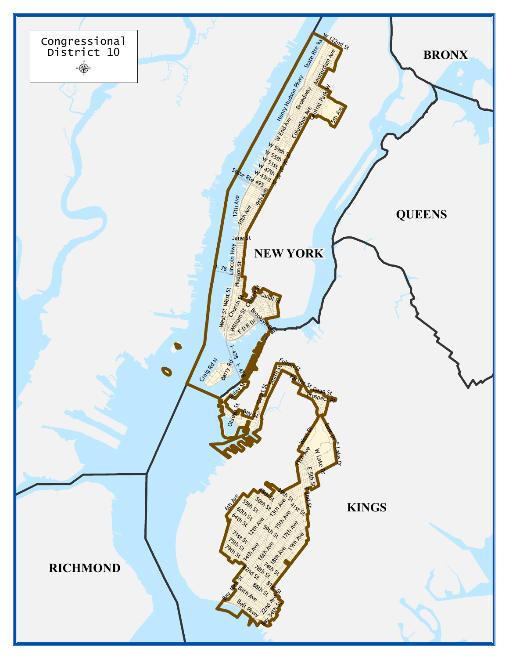